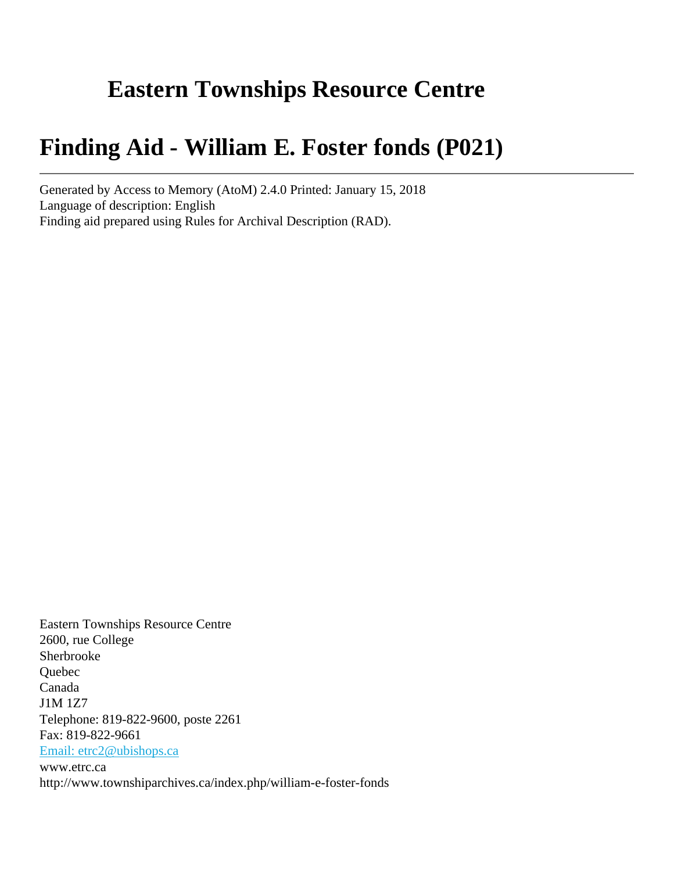# **Eastern Townships Resource Centre**

# **Finding Aid - William E. Foster fonds (P021)**

Generated by Access to Memory (AtoM) 2.4.0 Printed: January 15, 2018 Language of description: English Finding aid prepared using Rules for Archival Description (RAD).

Eastern Townships Resource Centre 2600, rue College Sherbrooke Quebec Canada J1M 1Z7 Telephone: 819-822-9600, poste 2261 Fax: 819-822-9661 [Email: etrc2@ubishops.ca](mailto:Email: etrc2@ubishops.ca) www.etrc.ca http://www.townshiparchives.ca/index.php/william-e-foster-fonds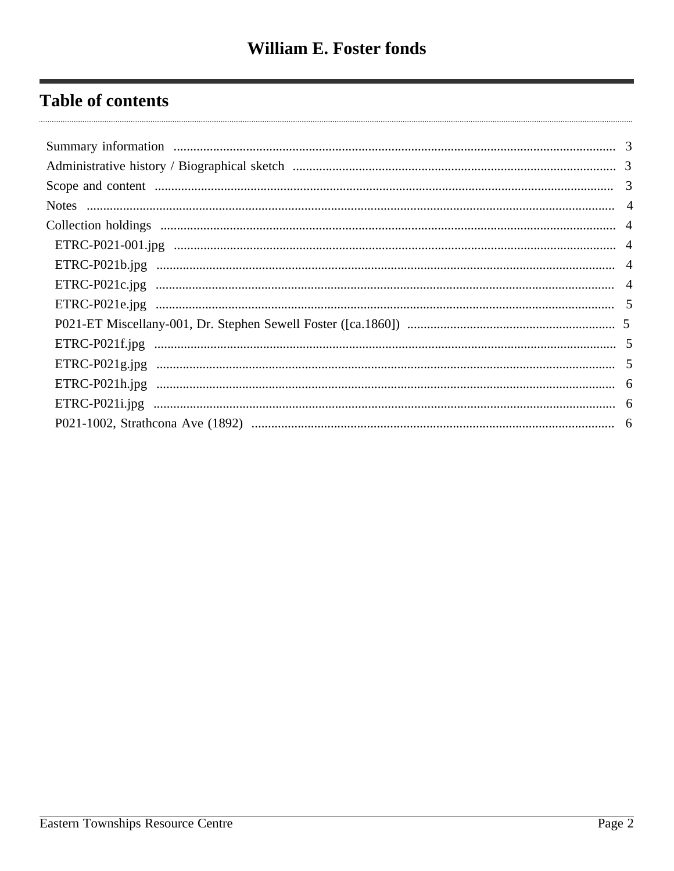## **Table of contents**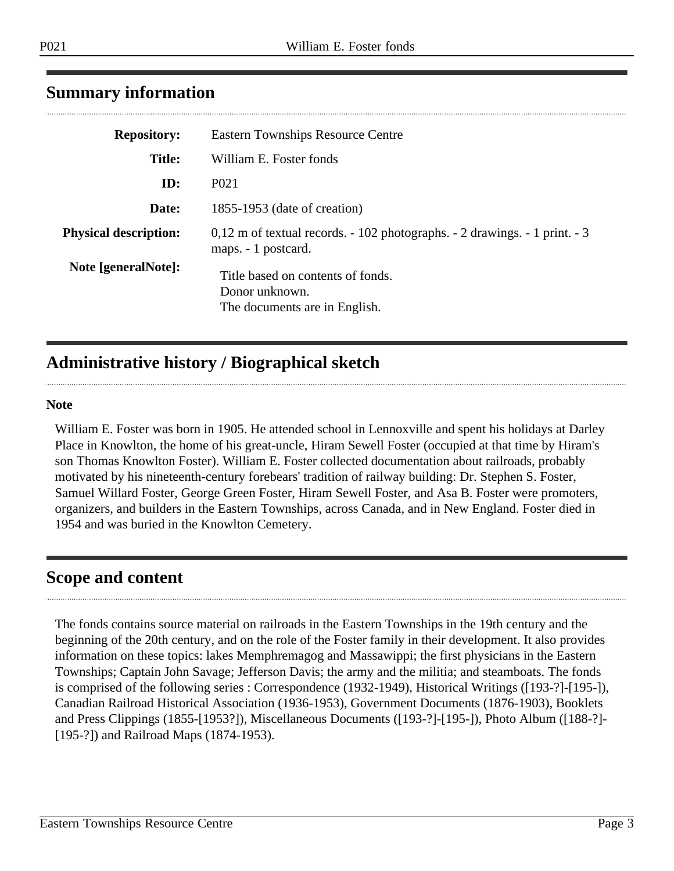## <span id="page-2-0"></span>**Summary information**

| <b>Eastern Townships Resource Centre</b>                                                                |
|---------------------------------------------------------------------------------------------------------|
| William E. Foster fonds                                                                                 |
| P <sub>0</sub> 21                                                                                       |
| 1855-1953 (date of creation)                                                                            |
| $0,12$ m of textual records. $-102$ photographs. $-2$ drawings. $-1$ print. $-3$<br>maps. - 1 postcard. |
| Title based on contents of fonds.<br>Donor unknown.<br>The documents are in English.                    |
|                                                                                                         |

## <span id="page-2-1"></span>**Administrative history / Biographical sketch**

#### **Note**

William E. Foster was born in 1905. He attended school in Lennoxville and spent his holidays at Darley Place in Knowlton, the home of his great-uncle, Hiram Sewell Foster (occupied at that time by Hiram's son Thomas Knowlton Foster). William E. Foster collected documentation about railroads, probably motivated by his nineteenth-century forebears' tradition of railway building: Dr. Stephen S. Foster, Samuel Willard Foster, George Green Foster, Hiram Sewell Foster, and Asa B. Foster were promoters, organizers, and builders in the Eastern Townships, across Canada, and in New England. Foster died in 1954 and was buried in the Knowlton Cemetery.

## <span id="page-2-2"></span>**Scope and content**

The fonds contains source material on railroads in the Eastern Townships in the 19th century and the beginning of the 20th century, and on the role of the Foster family in their development. It also provides information on these topics: lakes Memphremagog and Massawippi; the first physicians in the Eastern Townships; Captain John Savage; Jefferson Davis; the army and the militia; and steamboats. The fonds is comprised of the following series : Correspondence (1932-1949), Historical Writings ([193-?]-[195-]), Canadian Railroad Historical Association (1936-1953), Government Documents (1876-1903), Booklets and Press Clippings (1855-[1953?]), Miscellaneous Documents ([193-?]-[195-]), Photo Album ([188-?]- [195-?]) and Railroad Maps (1874-1953).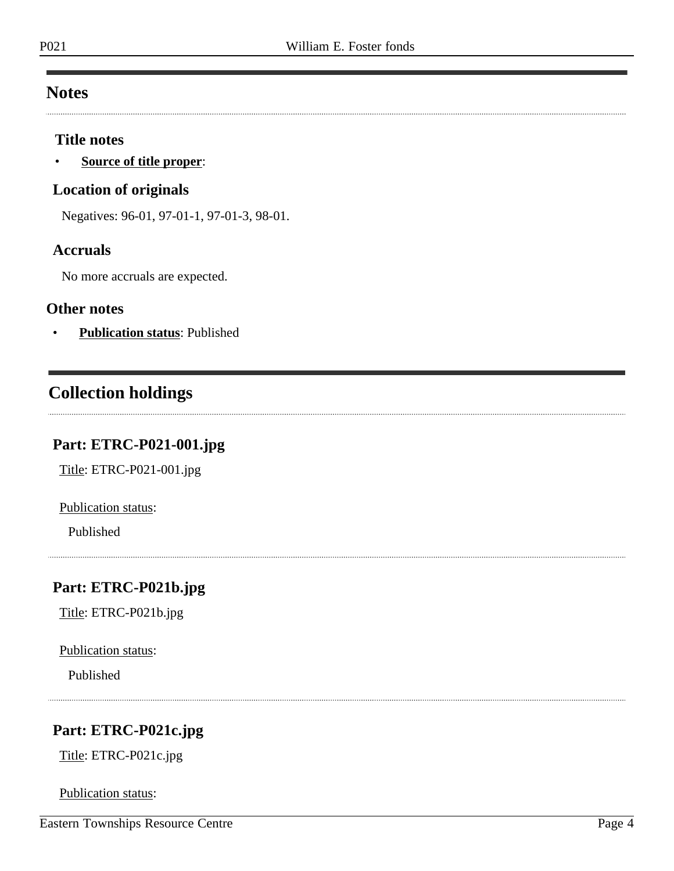### <span id="page-3-0"></span>**Notes**

#### **Title notes**

• **Source of title proper**:

#### **Location of originals**

Negatives: 96-01, 97-01-1, 97-01-3, 98-01.

#### **Accruals**

No more accruals are expected.

#### **Other notes**

• **Publication status**: Published

## <span id="page-3-1"></span>**Collection holdings**

#### <span id="page-3-2"></span>**Part: ETRC-P021-001.jpg**

Title: ETRC-P021-001.jpg

Publication status:

Published

### <span id="page-3-3"></span>**Part: ETRC-P021b.jpg**

Title: ETRC-P021b.jpg

Publication status:

Published

## <span id="page-3-4"></span>**Part: ETRC-P021c.jpg**

Title: ETRC-P021c.jpg

Publication status: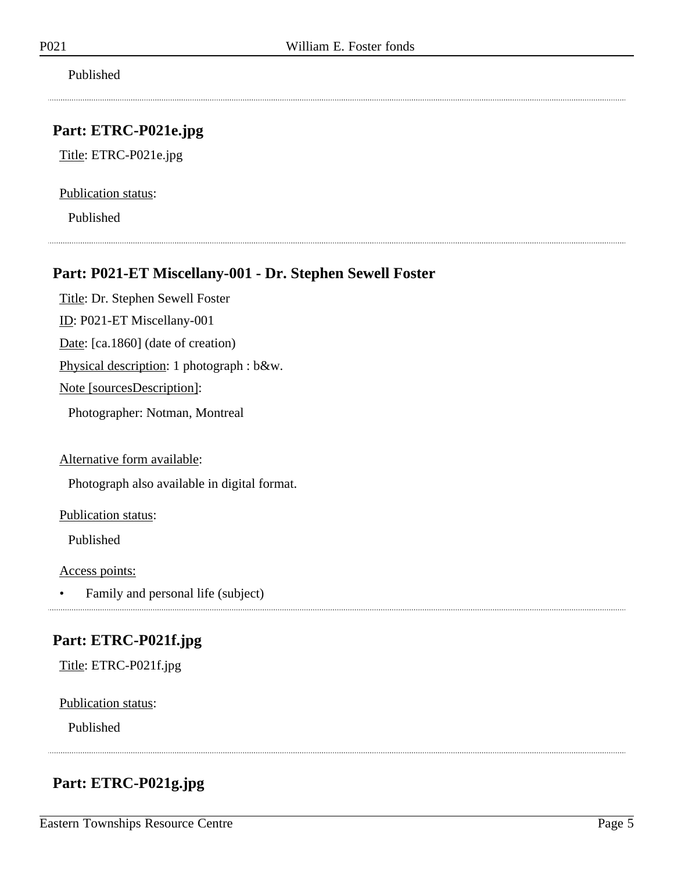Published

#### <span id="page-4-0"></span>**Part: ETRC-P021e.jpg**

Title: ETRC-P021e.jpg

Publication status:

Published

#### <span id="page-4-1"></span>**Part: P021-ET Miscellany-001 - Dr. Stephen Sewell Foster**

Title: Dr. Stephen Sewell Foster ID: P021-ET Miscellany-001

Date: [ca.1860] (date of creation)

Physical description: 1 photograph : b&w.

Note [sourcesDescription]:

Photographer: Notman, Montreal

Alternative form available:

Photograph also available in digital format.

Publication status:

Published

Access points:

• Family and personal life (subject)

### <span id="page-4-2"></span>**Part: ETRC-P021f.jpg**

Title: ETRC-P021f.jpg

Publication status:

Published

### <span id="page-4-3"></span>**Part: ETRC-P021g.jpg**